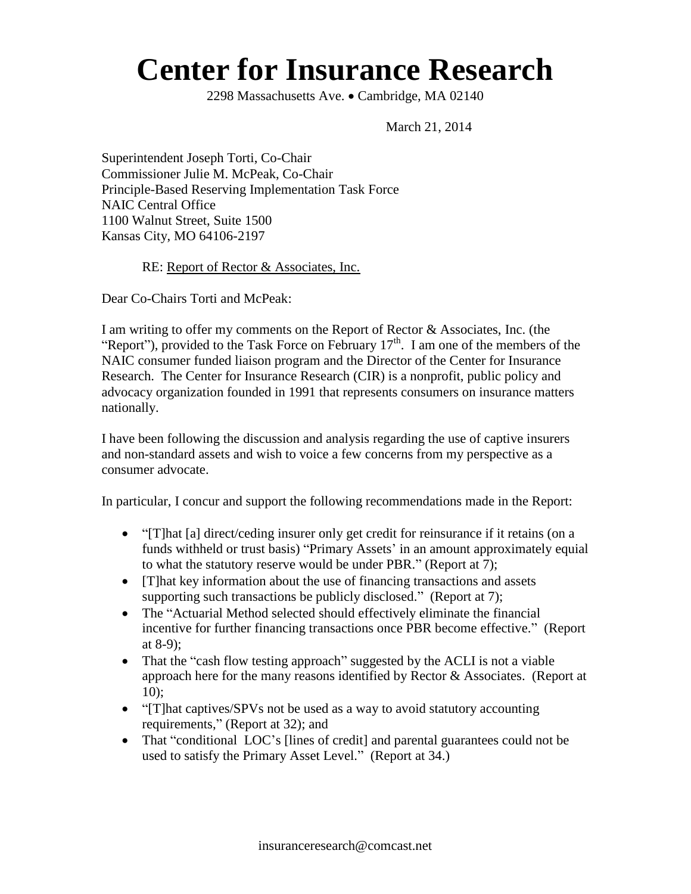## **Center for Insurance Research**

2298 Massachusetts Ave. • Cambridge, MA 02140

March 21, 2014

Superintendent Joseph Torti, Co-Chair Commissioner Julie M. McPeak, Co-Chair Principle-Based Reserving Implementation Task Force NAIC Central Office 1100 Walnut Street, Suite 1500 Kansas City, MO 64106-2197

RE: Report of Rector & Associates, Inc.

Dear Co-Chairs Torti and McPeak:

I am writing to offer my comments on the Report of Rector & Associates, Inc. (the "Report"), provided to the Task Force on February  $17<sup>th</sup>$ . I am one of the members of the NAIC consumer funded liaison program and the Director of the Center for Insurance Research. The Center for Insurance Research (CIR) is a nonprofit, public policy and advocacy organization founded in 1991 that represents consumers on insurance matters nationally.

I have been following the discussion and analysis regarding the use of captive insurers and non-standard assets and wish to voice a few concerns from my perspective as a consumer advocate.

In particular, I concur and support the following recommendations made in the Report:

- "[T]hat [a] direct/ceding insurer only get credit for reinsurance if it retains (on a funds withheld or trust basis) "Primary Assets' in an amount approximately equial to what the statutory reserve would be under PBR." (Report at 7);
- [T]hat key information about the use of financing transactions and assets supporting such transactions be publicly disclosed." (Report at 7);
- The "Actuarial Method selected should effectively eliminate the financial incentive for further financing transactions once PBR become effective." (Report at 8-9);
- That the "cash flow testing approach" suggested by the ACLI is not a viable approach here for the many reasons identified by Rector & Associates. (Report at 10);
- "[T]hat captives/SPVs not be used as a way to avoid statutory accounting requirements," (Report at 32); and
- That "conditional LOC's [lines of credit] and parental guarantees could not be used to satisfy the Primary Asset Level." (Report at 34.)